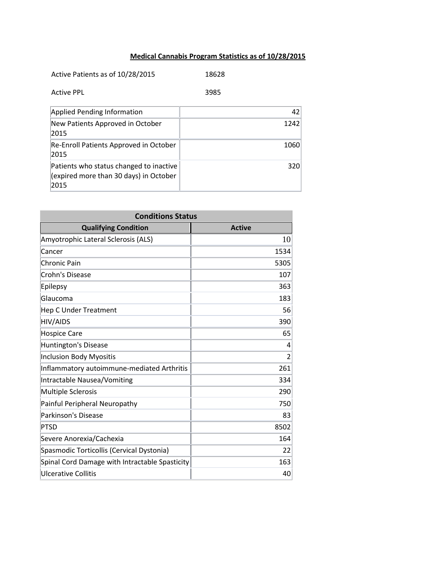## **Medical Cannabis Program Statistics as of 10/28/2015**

| Active Patients as of 10/28/2015                                                          | 18628           |
|-------------------------------------------------------------------------------------------|-----------------|
| <b>Active PPL</b>                                                                         | 3985            |
| <b>Applied Pending Information</b>                                                        | 42 <sub>1</sub> |
| New Patients Approved in October<br>2015                                                  | 1242            |
| Re-Enroll Patients Approved in October<br>2015                                            | 1060            |
| Patients who status changed to inactive<br>(expired more than 30 days) in October<br>2015 | 320             |

| <b>Conditions Status</b>                       |               |
|------------------------------------------------|---------------|
| <b>Qualifying Condition</b>                    | <b>Active</b> |
| Amyotrophic Lateral Sclerosis (ALS)            | 10            |
| Cancer                                         | 1534          |
| <b>Chronic Pain</b>                            | 5305          |
| Crohn's Disease                                | 107           |
| Epilepsy                                       | 363           |
| Glaucoma                                       | 183           |
| <b>Hep C Under Treatment</b>                   | 56            |
| <b>HIV/AIDS</b>                                | 390           |
| <b>Hospice Care</b>                            | 65            |
| <b>Huntington's Disease</b>                    | 4             |
| <b>Inclusion Body Myositis</b>                 | 2             |
| Inflammatory autoimmune-mediated Arthritis     | 261           |
| Intractable Nausea/Vomiting                    | 334           |
| <b>Multiple Sclerosis</b>                      | 290           |
| Painful Peripheral Neuropathy                  | 750           |
| <b>Parkinson's Disease</b>                     | 83            |
| <b>PTSD</b>                                    | 8502          |
| Severe Anorexia/Cachexia                       | 164           |
| Spasmodic Torticollis (Cervical Dystonia)      | 22            |
| Spinal Cord Damage with Intractable Spasticity | 163           |
| Ulcerative Collitis                            | 40            |